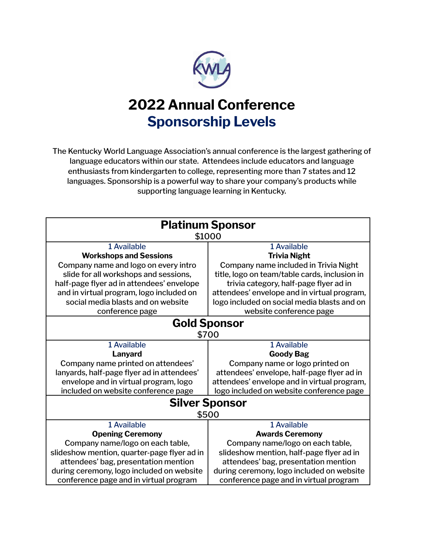

## **2022 Annual Conference Sponsorship Levels**

The Kentucky World Language Association's annual conference is the largest gathering of language educators within our state. Attendees include educators and language enthusiasts from kindergarten to college, representing more than 7 states and 12 languages. Sponsorship is a powerful way to share your company's products while supporting language learning in Kentucky.

| <b>Platinum Sponsor</b>                     |                                               |  |
|---------------------------------------------|-----------------------------------------------|--|
| \$1000                                      |                                               |  |
| 1 Available                                 | 1 Available                                   |  |
| <b>Workshops and Sessions</b>               | <b>Trivia Night</b>                           |  |
| Company name and logo on every intro        | Company name included in Trivia Night         |  |
| slide for all workshops and sessions,       | title, logo on team/table cards, inclusion in |  |
| half-page flyer ad in attendees' envelope   | trivia category, half-page flyer ad in        |  |
| and in virtual program, logo included on    | attendees' envelope and in virtual program,   |  |
| social media blasts and on website          | logo included on social media blasts and on   |  |
| conference page                             | website conference page                       |  |
| <b>Gold Sponsor</b>                         |                                               |  |
| \$700                                       |                                               |  |
| 1 Available                                 | 1 Available                                   |  |
| Lanyard                                     | <b>Goody Bag</b>                              |  |
| Company name printed on attendees'          | Company name or logo printed on               |  |
| lanyards, half-page flyer ad in attendees'  | attendees' envelope, half-page flyer ad in    |  |
| envelope and in virtual program, logo       | attendees' envelope and in virtual program,   |  |
| included on website conference page         | logo included on website conference page      |  |
| <b>Silver Sponsor</b>                       |                                               |  |
| \$500                                       |                                               |  |
| 1 Available                                 | 1 Available                                   |  |
| <b>Opening Ceremony</b>                     | <b>Awards Ceremony</b>                        |  |
| Company name/logo on each table,            | Company name/logo on each table,              |  |
| slideshow mention, quarter-page flyer ad in | slideshow mention, half-page flyer ad in      |  |
| attendees' bag, presentation mention        | attendees' bag, presentation mention          |  |
| during ceremony, logo included on website   | during ceremony, logo included on website     |  |
| conference page and in virtual program      | conference page and in virtual program        |  |